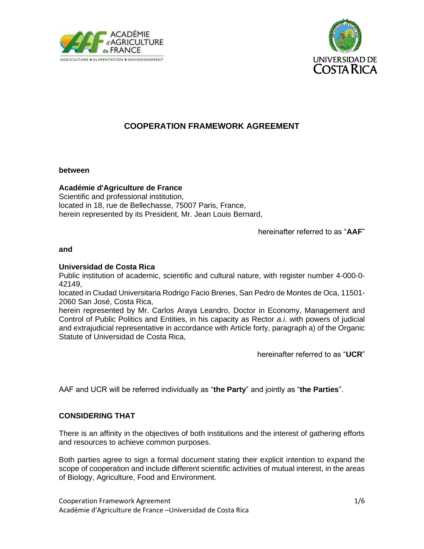



# **COOPERATION FRAMEWORK AGREEMENT**

#### **between**

### **Académie d'Agriculture de France**

Scientific and professional institution, located in 18, rue de Bellechasse, 75007 Paris, France, herein represented by its President, Mr. Jean Louis Bernard,

hereinafter referred to as "**AAF**"

#### **and**

#### **Universidad de Costa Rica**

Public institution of academic, scientific and cultural nature, with register number 4-000-0- 42149,

located in Ciudad Universitaria Rodrigo Facio Brenes, San Pedro de Montes de Oca, 11501- 2060 San José, Costa Rica,

herein represented by Mr. Carlos Araya Leandro, Doctor in Economy, Management and Control of Public Politics and Entities, in his capacity as Rector *a.i.* with powers of judicial and extrajudicial representative in accordance with Article forty, paragraph a) of the Organic Statute of Universidad de Costa Rica,

hereinafter referred to as "**UCR**"

AAF and UCR will be referred individually as "**the Party**" and jointly as "**the Parties**".

### **CONSIDERING THAT**

There is an affinity in the objectives of both institutions and the interest of gathering efforts and resources to achieve common purposes.

Both parties agree to sign a formal document stating their explicit intention to expand the scope of cooperation and include different scientific activities of mutual interest, in the areas of Biology, Agriculture, Food and Environment.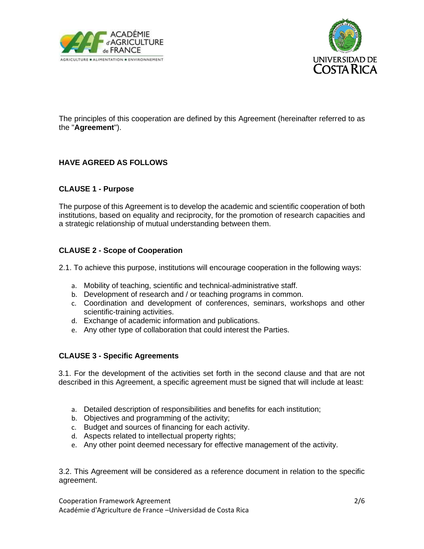



The principles of this cooperation are defined by this Agreement (hereinafter referred to as the "**Agreement**").

# **HAVE AGREED AS FOLLOWS**

### **CLAUSE 1 - Purpose**

The purpose of this Agreement is to develop the academic and scientific cooperation of both institutions, based on equality and reciprocity, for the promotion of research capacities and a strategic relationship of mutual understanding between them.

### **CLAUSE 2 - Scope of Cooperation**

2.1. To achieve this purpose, institutions will encourage cooperation in the following ways:

- a. Mobility of teaching, scientific and technical-administrative staff.
- b. Development of research and / or teaching programs in common.
- c. Coordination and development of conferences, seminars, workshops and other scientific-training activities.
- d. Exchange of academic information and publications.
- e. Any other type of collaboration that could interest the Parties.

### **CLAUSE 3 - Specific Agreements**

3.1. For the development of the activities set forth in the second clause and that are not described in this Agreement, a specific agreement must be signed that will include at least:

- a. Detailed description of responsibilities and benefits for each institution;
- b. Objectives and programming of the activity;
- c. Budget and sources of financing for each activity.
- d. Aspects related to intellectual property rights;
- e. Any other point deemed necessary for effective management of the activity.

3.2. This Agreement will be considered as a reference document in relation to the specific agreement.

Cooperation Framework Agreement 2/6 Académie d'Agriculture de France –Universidad de Costa Rica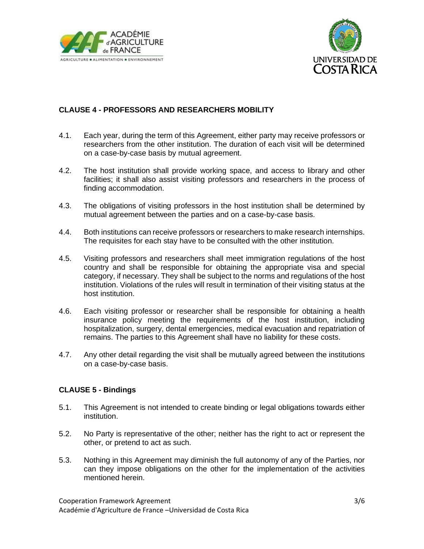



## **CLAUSE 4 - PROFESSORS AND RESEARCHERS MOBILITY**

- 4.1. Each year, during the term of this Agreement, either party may receive professors or researchers from the other institution. The duration of each visit will be determined on a case-by-case basis by mutual agreement.
- 4.2. The host institution shall provide working space, and access to library and other facilities; it shall also assist visiting professors and researchers in the process of finding accommodation.
- 4.3. The obligations of visiting professors in the host institution shall be determined by mutual agreement between the parties and on a case-by-case basis.
- 4.4. Both institutions can receive professors or researchers to make research internships. The requisites for each stay have to be consulted with the other institution.
- 4.5. Visiting professors and researchers shall meet immigration regulations of the host country and shall be responsible for obtaining the appropriate visa and special category, if necessary. They shall be subject to the norms and regulations of the host institution. Violations of the rules will result in termination of their visiting status at the host institution.
- 4.6. Each visiting professor or researcher shall be responsible for obtaining a health insurance policy meeting the requirements of the host institution, including hospitalization, surgery, dental emergencies, medical evacuation and repatriation of remains. The parties to this Agreement shall have no liability for these costs.
- 4.7. Any other detail regarding the visit shall be mutually agreed between the institutions on a case-by-case basis.

### **CLAUSE 5 - Bindings**

- 5.1. This Agreement is not intended to create binding or legal obligations towards either institution.
- 5.2. No Party is representative of the other; neither has the right to act or represent the other, or pretend to act as such.
- 5.3. Nothing in this Agreement may diminish the full autonomy of any of the Parties, nor can they impose obligations on the other for the implementation of the activities mentioned herein.

Cooperation Framework Agreement 3/6 Académie d'Agriculture de France –Universidad de Costa Rica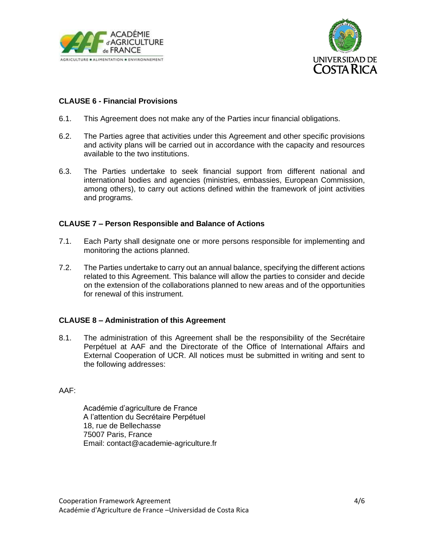



### **CLAUSE 6 - Financial Provisions**

- 6.1. This Agreement does not make any of the Parties incur financial obligations.
- 6.2. The Parties agree that activities under this Agreement and other specific provisions and activity plans will be carried out in accordance with the capacity and resources available to the two institutions.
- 6.3. The Parties undertake to seek financial support from different national and international bodies and agencies (ministries, embassies, European Commission, among others), to carry out actions defined within the framework of joint activities and programs.

### **CLAUSE 7 – Person Responsible and Balance of Actions**

- 7.1. Each Party shall designate one or more persons responsible for implementing and monitoring the actions planned.
- 7.2. The Parties undertake to carry out an annual balance, specifying the different actions related to this Agreement. This balance will allow the parties to consider and decide on the extension of the collaborations planned to new areas and of the opportunities for renewal of this instrument.

### **CLAUSE 8 – Administration of this Agreement**

8.1. The administration of this Agreement shall be the responsibility of the Secrétaire Perpétuel at AAF and the Directorate of the Office of International Affairs and External Cooperation of UCR. All notices must be submitted in writing and sent to the following addresses:

AAF:

Académie d'agriculture de France A l'attention du Secrétaire Perpétuel 18, rue de Bellechasse 75007 Paris, France Email: [contact@academie-agriculture.fr](mailto:contact@academie-agriculture.fr)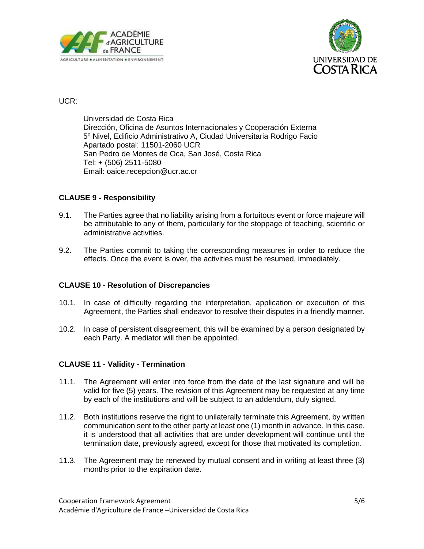



## UCR:

Universidad de Costa Rica Dirección, Oficina de Asuntos Internacionales y Cooperación Externa 5º Nivel, Edificio Administrativo A, Ciudad Universitaria Rodrigo Facio Apartado postal: 11501-2060 UCR San Pedro de Montes de Oca, San José, Costa Rica Tel: + (506) 2511-5080 Email: [oaice.recepcion@ucr.ac.cr](mailto:oaice.recepcion@ucr.ac.cr)

### **CLAUSE 9 - Responsibility**

- 9.1. The Parties agree that no liability arising from a fortuitous event or force majeure will be attributable to any of them, particularly for the stoppage of teaching, scientific or administrative activities.
- 9.2. The Parties commit to taking the corresponding measures in order to reduce the effects. Once the event is over, the activities must be resumed, immediately.

### **CLAUSE 10 - Resolution of Discrepancies**

- 10.1. In case of difficulty regarding the interpretation, application or execution of this Agreement, the Parties shall endeavor to resolve their disputes in a friendly manner.
- 10.2. In case of persistent disagreement, this will be examined by a person designated by each Party. A mediator will then be appointed.

### **CLAUSE 11 - Validity - Termination**

- 11.1. The Agreement will enter into force from the date of the last signature and will be valid for five (5) years. The revision of this Agreement may be requested at any time by each of the institutions and will be subject to an addendum, duly signed.
- 11.2. Both institutions reserve the right to unilaterally terminate this Agreement, by written communication sent to the other party at least one (1) month in advance. In this case, it is understood that all activities that are under development will continue until the termination date, previously agreed, except for those that motivated its completion.
- 11.3. The Agreement may be renewed by mutual consent and in writing at least three (3) months prior to the expiration date.